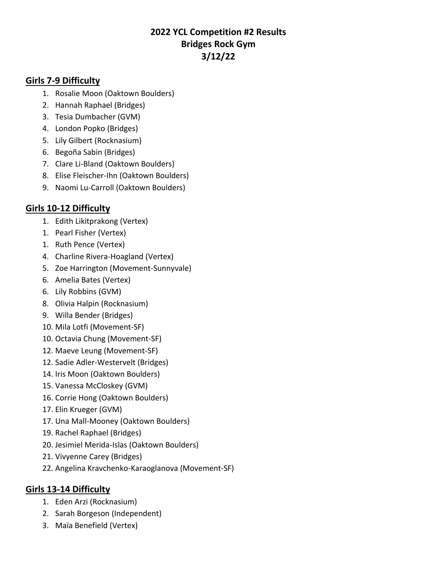# **2022 YCL Competition #2 Results Bridges Rock Gym 3/12/22**

#### **Girls 7-9 Difficulty**

- 1. Rosalie Moon (Oaktown Boulders)
- 2. Hannah Raphael (Bridges)
- 3. Tesia Dumbacher (GVM)
- 4. London Popko (Bridges)
- 5. Lily Gilbert (Rocknasium)
- 6. Begoña Sabin (Bridges)
- 7. Clare Li-Bland (Oaktown Boulders)
- 8. Elise Fleischer-Ihn (Oaktown Boulders)
- 9. Naomi Lu-Carroll (Oaktown Boulders)

# **Girls 10-12 Difficulty**

- 1. Edith Likitprakong (Vertex)
- 1. Pearl Fisher (Vertex)
- 1. Ruth Pence (Vertex)
- 4. Charline Rivera-Hoagland (Vertex)
- 5. Zoe Harrington (Movement-Sunnyvale)
- 6. Amelia Bates (Vertex)
- 6. Lily Robbins (GVM)
- 8. Olivia Halpin (Rocknasium)
- 9. Willa Bender (Bridges)
- 10. Mila Lotfi (Movement-SF)
- 10. Octavia Chung (Movement-SF)
- 12. Maeve Leung (Movement-SF)
- 12. Sadie Adler-Westervelt (Bridges)
- 14. Iris Moon (Oaktown Boulders)
- 15. Vanessa McCloskey (GVM)
- 16. Corrie Hong (Oaktown Boulders)
- 17. Elin Krueger (GVM)
- 17. Una Mall-Mooney (Oaktown Boulders)
- 19. Rachel Raphael (Bridges)
- 20. Jesimiel Merida-Islas (Oaktown Boulders)
- 21. Vivyenne Carey (Bridges)
- 22. Angelina Kravchenko-Karaoglanova (Movement-SF)

### **Girls 13-14 Difficulty**

- 1. Eden Arzi (Rocknasium)
- 2. Sarah Borgeson (Independent)
- 3. Maïa Benefield (Vertex)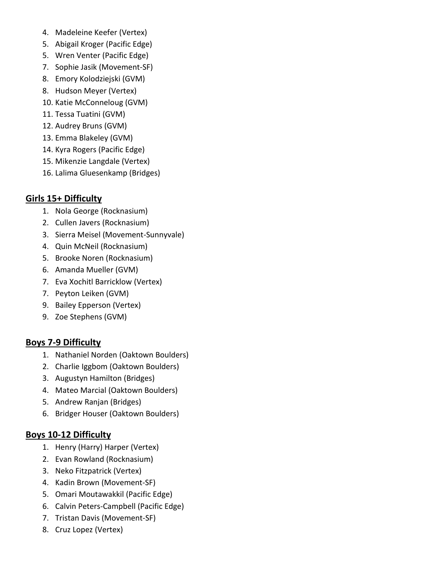- 4. Madeleine Keefer (Vertex)
- 5. Abigail Kroger (Pacific Edge)
- 5. Wren Venter (Pacific Edge)
- 7. Sophie Jasik (Movement-SF)
- 8. Emory Kolodziejski (GVM)
- 8. Hudson Meyer (Vertex)
- 10. Katie McConneloug (GVM)
- 11. Tessa Tuatini (GVM)
- 12. Audrey Bruns (GVM)
- 13. Emma Blakeley (GVM)
- 14. Kyra Rogers (Pacific Edge)
- 15. Mikenzie Langdale (Vertex)
- 16. Lalima Gluesenkamp (Bridges)

### **Girls 15+ Difficulty**

- 1. Nola George (Rocknasium)
- 2. Cullen Javers (Rocknasium)
- 3. Sierra Meisel (Movement-Sunnyvale)
- 4. Quin McNeil (Rocknasium)
- 5. Brooke Noren (Rocknasium)
- 6. Amanda Mueller (GVM)
- 7. Eva Xochitl Barricklow (Vertex)
- 7. Peyton Leiken (GVM)
- 9. Bailey Epperson (Vertex)
- 9. Zoe Stephens (GVM)

### **Boys 7-9 Difficulty**

- 1. Nathaniel Norden (Oaktown Boulders)
- 2. Charlie Iggbom (Oaktown Boulders)
- 3. Augustyn Hamilton (Bridges)
- 4. Mateo Marcial (Oaktown Boulders)
- 5. Andrew Ranjan (Bridges)
- 6. Bridger Houser (Oaktown Boulders)

## **Boys 10-12 Difficulty**

- 1. Henry (Harry) Harper (Vertex)
- 2. Evan Rowland (Rocknasium)
- 3. Neko Fitzpatrick (Vertex)
- 4. Kadin Brown (Movement-SF)
- 5. Omari Moutawakkil (Pacific Edge)
- 6. Calvin Peters-Campbell (Pacific Edge)
- 7. Tristan Davis (Movement-SF)
- 8. Cruz Lopez (Vertex)